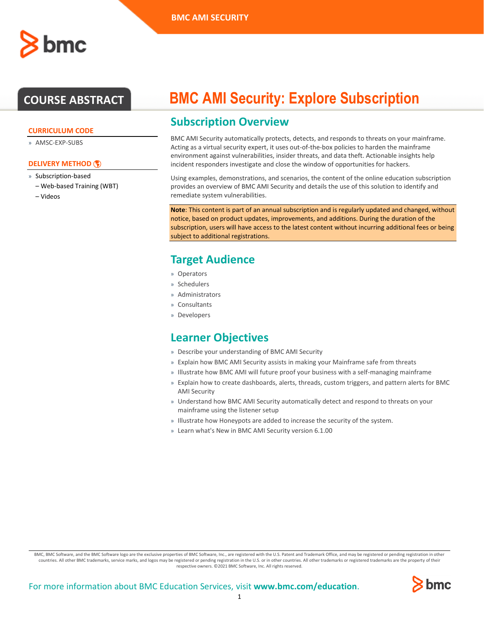#### **CURRICULUM CODE**

» AMSC-EXP-SUBS

### **[DELIVERY METHOD](http://www.bmc.com/education/modality.html)**

- » Subscription-based
	- Web-based Training (WBT)
	- Videos

# **COURSE ABSTRACT BMC AMI Security: Explore Subscription**

# **Subscription Overview**

BMC AMI Security automatically protects, detects, and responds to threats on your mainframe. Acting as a virtual security expert, it uses out-of-the-box policies to harden the mainframe environment against vulnerabilities, insider threats, and data theft. Actionable insights help incident responders investigate and close the window of opportunities for hackers.

Using examples, demonstrations, and scenarios, the content of the online education subscription provides an overview of BMC AMI Security and details the use of this solution to identify and remediate system vulnerabilities.

**Note**: This content is part of an annual subscription and is regularly updated and changed, without notice, based on product updates, improvements, and additions. During the duration of the subscription, users will have access to the latest content without incurring additional fees or being subject to additional registrations.

## **Target Audience**

- » Operators
- » Schedulers
- » Administrators
- » Consultants
- » Developers

### **Learner Objectives**

- » Describe your understanding of BMC AMI Security
- » Explain how BMC AMI Security assists in making your Mainframe safe from threats
- » Illustrate how BMC AMI will future proof your business with a self-managing mainframe
- » Explain how to create dashboards, alerts, threads, custom triggers, and pattern alerts for BMC AMI Security
- » Understand how BMC AMI Security automatically detect and respond to threats on your mainframe using the listener setup
- » Illustrate how Honeypots are added to increase the security of the system.
- » Learn what's New in BMC AMI Security version 6.1.00

BMC, BMC Software, and the BMC Software logo are the exclusive properties of BMC Software, Inc., are registered with the U.S. Patent and Trademark Office, and may be registered or pending registration in other countries. All other BMC trademarks, service marks, and logos may be registered or pending registration in the U.S. or in other countries. All other trademarks or registered trademarks are the property of their respective owners. ©2021 BMC Software, Inc. All rights reserved.